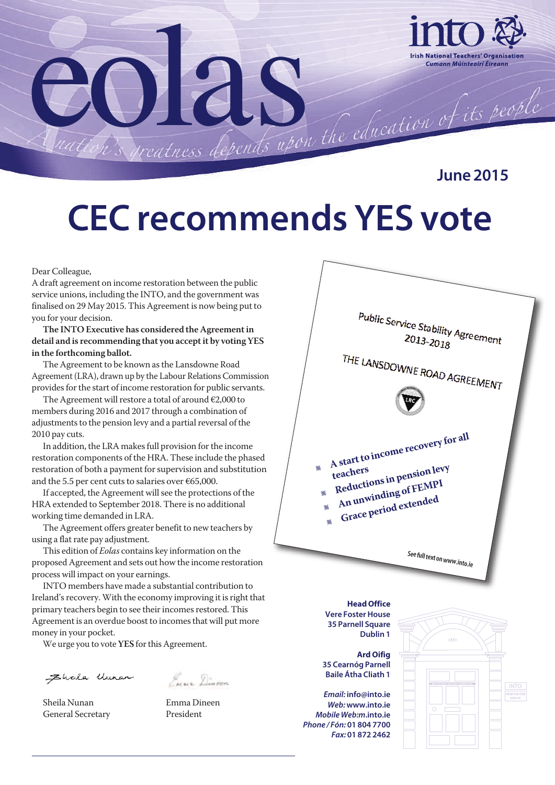

**June 2015**

# **CEC recommends YES vote**

#### Dear Colleague,

A draft agreement on income restoration between the public service unions, including the INTO, and the government was finalised on 29 May 2015. This Agreement is now being put to you for your decision.

**The INTO Executive has considered the Agreementin detail and is recommending that you acceptit by voting YES in the forthcoming ballot.**

The Agreement to be known as the Lansdowne Road Agreement (LRA), drawn up by the Labour Relations Commission provides for the start of income restoration for public servants.

The Agreement will restore a total of around  $\epsilon$ 2,000 to members during 2016 and 2017 through a combination of adjustments to the pension levy and a partial reversal of the 2010 pay cuts.

In addition, the LRA makes full provision for the income restoration components of the HRA. These include the phased restoration of both a payment for supervision and substitution and the 5.5 per cent cuts to salaries over  $\epsilon$ 65,000.

If accepted, the Agreement will see the protections of the HRA extended to September 2018. There is no additional working time demanded in LRA.

The Agreement offers greater benefit to new teachers by using a flatrate pay adjustment.

This edition of *Eolas* contains key information on the proposed Agreement and sets out how the income restoration process will impact on your earnings.

INTO members have made a substantial contribution to Ireland's recovery. With the economy improving it is right that primary teachers begin to see their incomes restored. This Agreement is an overdue boost to incomes that will put more money in your pocket.

We urge you to vote YES for this Agreement.

Eheila Uman

Euro Dingen

Sheila Nunan Emma Dineen General Secretary President



**Head Office Vere Foster House 35 Parnell Square Dublin 1**

**Ard Oifig 35 Cearnóg Parnell Baile Átha Cliath 1**

*Email:* **info@into.ie** *Web:***www.into.ie** *Mobile Web:m***.into.ie** *Phone / Fón:* **01 804 7700** *Fax:* **01 872 2462**

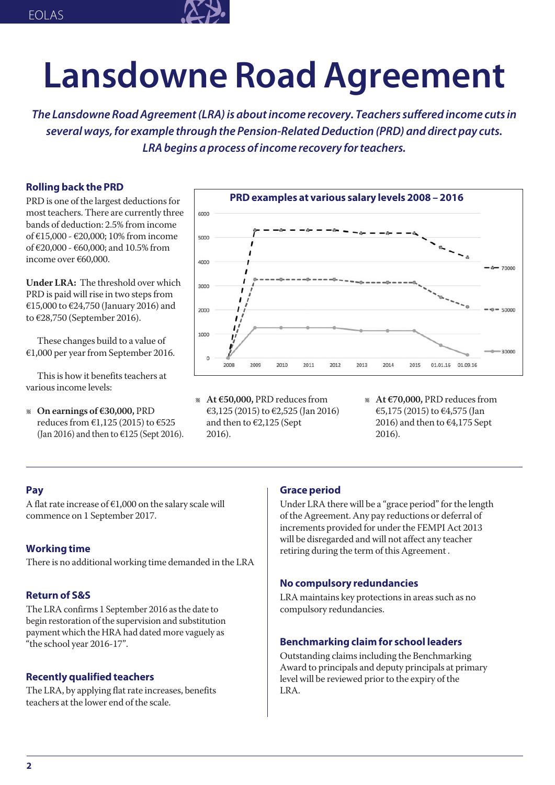

# **Lansdowne Road Agreement**

*The Lansdowne RoadAgreement(LRA)is aboutincome recovery. Teacherssuffered income cutsin several ways,for example through the Pension-RelatedDeduction (PRD) and direct pay cuts. LRAbegins a process ofincome recovery forteachers.*

#### **Rolling back the PRD**

PRD is one of the largest deductions for most teachers. There are currently three bands of deduction: 2.5% from income of €15,000 - €20,000; 10%from income of €20,000 - €60,000; and 10.5% from income over €60,000.

**Under LRA:** The threshold over which PRD is paid will rise in two steps from €15,000 to €24,750 (January 2016) and to €28,750 (September 2016).

These changes build to a value of  $€1,000$  per year from September 2016.

This is how it benefits teachers at various income levels:

l **On earnings of €30,000,** PRD reduces from €1,125 (2015) to €525 (Jan 2016) and then to €125 (Sept 2016).



- l **At €50,000,** PRD reducesfrom €3,125 (2015) to €2,525 (Jan 2016) and then to €2,125 (Sept 2016).
- l **At €70,000,** PRD reducesfrom €5,175 (2015) to €4,575 (Jan 2016) and then to  $\epsilon$ 4,175 Sept 2016).

#### **Pay**

A flat rate increase of  $€1,000$  on the salary scale will commence on 1 September 2017.

#### **Working time**

There is no additional working time demanded in the LRA

#### **Return of S&S**

The LRA confirms 1 September 2016 as the date to begin restoration of the supervision and substitution payment which the HRA had dated more vaguely as "the school year 2016-17".

#### **Recently qualified teachers**

The LRA, by applying flat rate increases, benefits teachers at the lower end of the scale.

#### **Grace period**

Under LRA there will be a "grace period" for the length of the Agreement. Any pay reductions or deferral of increments provided for under the FEMPI Act 2013 will be disregarded and will not affect any teacher retiring during the term of this Agreement .

#### **No compulsory redundancies**

LRA maintains key protections in areas such as no compulsory redundancies.

#### **Benchmarking claim for school leaders**

Outstanding claimsincluding the Benchmarking Award to principals and deputy principals at primary level will be reviewed prior to the expiry of the LRA.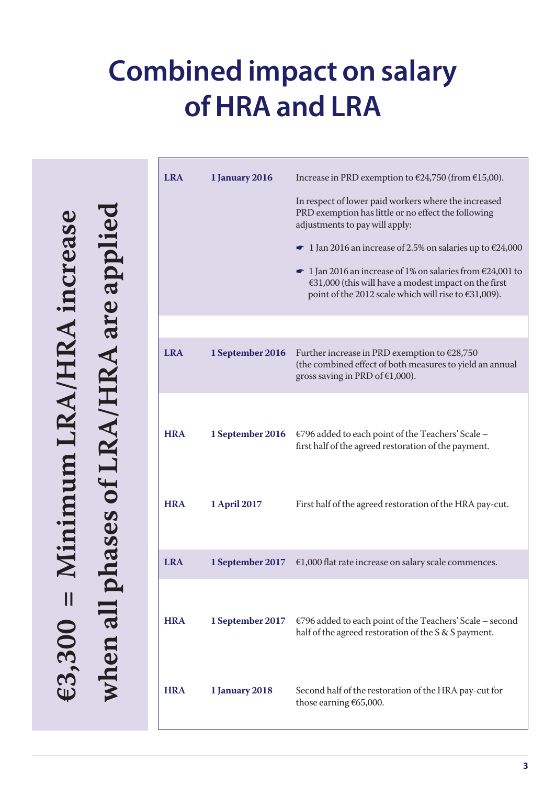## **Combined impact on salary ofHRA and LRA**

**3 , 3 0 0 = M i n i m u m L R A / H R A i n c r e a** <u>مح</u> **e w h e n a l l p h a s e s o f L R A / H R A a r e a p p l i e d**

|                    |                            | <b>LRA</b> | <b>1 January 2016</b> | Increase in PRD exemption to €24,750 (from €15,00).                                                                                                                                                                                                                                                                                                                                                                     |
|--------------------|----------------------------|------------|-----------------------|-------------------------------------------------------------------------------------------------------------------------------------------------------------------------------------------------------------------------------------------------------------------------------------------------------------------------------------------------------------------------------------------------------------------------|
| creas              | ases of LRA/HRA are applio |            |                       | In respect of lower paid workers where the increased<br>PRD exemption has little or no effect the following<br>adjustments to pay will apply:<br>• 1 Jan 2016 an increase of 2.5% on salaries up to $\epsilon$ 24,000<br>$\bullet$ 1 Jan 2016 an increase of 1% on salaries from $\epsilon$ 24,001 to<br>$€31,000$ (this will have a modest impact on the first<br>point of the 2012 scale which will rise to €31,009). |
|                    |                            |            |                       |                                                                                                                                                                                                                                                                                                                                                                                                                         |
|                    |                            | <b>LRA</b> | 1 September 2016      | Further increase in PRD exemption to €28,750<br>(the combined effect of both measures to yield an annual<br>gross saving in PRD of $€1,000$ ).                                                                                                                                                                                                                                                                          |
|                    |                            |            |                       |                                                                                                                                                                                                                                                                                                                                                                                                                         |
|                    |                            | <b>HRA</b> | 1 September 2016      | €796 added to each point of the Teachers' Scale -<br>first half of the agreed restoration of the payment.                                                                                                                                                                                                                                                                                                               |
|                    |                            | <b>HRA</b> | 1 April 2017          | First half of the agreed restoration of the HRA pay-cut.                                                                                                                                                                                                                                                                                                                                                                |
|                    |                            | <b>LRA</b> | 1 September 2017      | $€1,000$ flat rate increase on salary scale commences.                                                                                                                                                                                                                                                                                                                                                                  |
| Ш<br><b>E3.300</b> | when all                   | <b>HRA</b> | 1 September 2017      | €796 added to each point of the Teachers' Scale - second<br>half of the agreed restoration of the S & S payment.                                                                                                                                                                                                                                                                                                        |
|                    |                            | <b>HRA</b> | <b>1 January 2018</b> | Second half of the restoration of the HRA pay-cut for<br>those earning €65,000.                                                                                                                                                                                                                                                                                                                                         |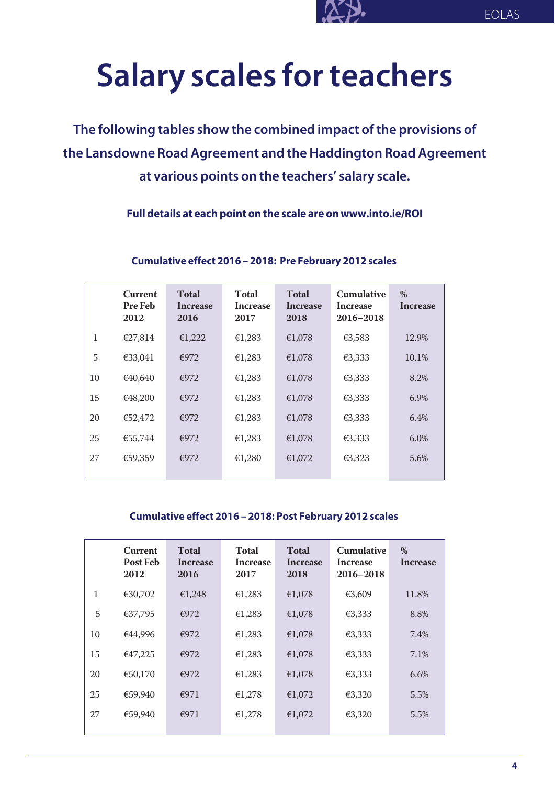## **Salary scales forteachers**

**The following tables show the combined impact ofthe provisions of the Lansdowne Road Agreement and theHaddington Road Agreement at various points on the teachers' salary scale.**

**Full details at each point on the scale are on www.into.ie/ROI**

|              | <b>Current</b><br><b>Pre Feb</b><br>2012 | <b>Total</b><br>Increase<br>2016 | <b>Total</b><br>Increase<br>2017 | <b>Total</b><br>Increase<br>2018 | <b>Cumulative</b><br>Increase<br>2016-2018 | $\%$<br>Increase |
|--------------|------------------------------------------|----------------------------------|----------------------------------|----------------------------------|--------------------------------------------|------------------|
| $\mathbf{1}$ | €27,814                                  | €1,222                           | €1,283                           | €1,078                           | €3,583                                     | 12.9%            |
| 5            | €33,041                                  | €972                             | €1,283                           | €1,078                           | €3,333                                     | 10.1%            |
| 10           | €40,640                                  | €972                             | €1,283                           | €1,078                           | €3,333                                     | 8.2%             |
| 15           | €48,200                                  | €972                             | €1,283                           | €1,078                           | €3,333                                     | 6.9%             |
| 20           | €52,472                                  | €972                             | €1,283                           | €1,078                           | €3,333                                     | 6.4%             |
| 25           | €55,744                                  | €972                             | €1,283                           | €1,078                           | €3,333                                     | 6.0%             |
| 27           | €59,359                                  | €972                             | €1,280                           | €1,072                           | €3,323                                     | 5.6%             |

#### **Cumulative effect 2016 – 2018: Pre February 2012 scales**

#### **Cumulative effect 2016 – 2018: Post February 2012 scales**

|    | <b>Current</b><br><b>Post Feb</b><br>2012 | <b>Total</b><br><b>Increase</b><br>2016 | Total<br><b>Increase</b><br>2017 | <b>Total</b><br>Increase<br>2018 | <b>Cumulative</b><br><b>Increase</b><br>2016–2018 | $\%$<br><b>Increase</b> |
|----|-------------------------------------------|-----------------------------------------|----------------------------------|----------------------------------|---------------------------------------------------|-------------------------|
| 1  | €30,702                                   | €1,248                                  | €1,283                           | €1,078                           | €3,609                                            | 11.8%                   |
| 5  | €37,795                                   | €972                                    | €1,283                           | €1,078                           | €3,333                                            | 8.8%                    |
| 10 | €44,996                                   | €972                                    | €1,283                           | €1,078                           | €3,333                                            | 7.4%                    |
| 15 | €47,225                                   | €972                                    | €1,283                           | €1,078                           | €3,333                                            | 7.1%                    |
| 20 | €50,170                                   | €972                                    | €1,283                           | €1,078                           | €3,333                                            | 6.6%                    |
| 25 | €59,940                                   | €971                                    | €1,278                           | €1,072                           | €3,320                                            | 5.5%                    |
| 27 | €59,940                                   | €971                                    | €1,278                           | €1,072                           | €3,320                                            | 5.5%                    |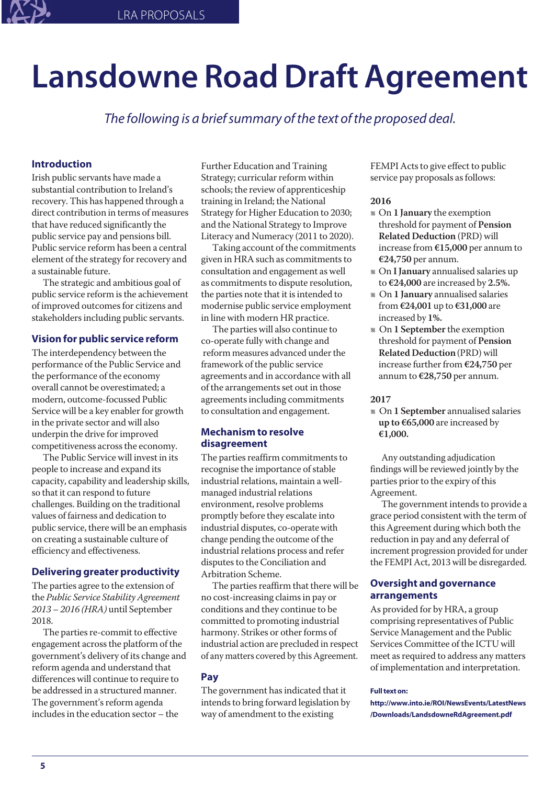# **Lansdowne RoadDraft Agreement**

*The following is a briefsummary ofthe text ofthe proposed deal.*

#### **Introduction**

Irish public servants have made a substantial contribution to Ireland's recovery. This has happened through a direct contribution in terms of measures that have reduced significantly the public service pay and pensions bill. Public service reform has been a central element of the strategy for recovery and a sustainable future.

The strategic and ambitious goal of public service reform is the achievement of improved outcomes for citizens and stakeholders including public servants.

#### **Vision for public service reform**

The interdependency between the performance of the Public Service and the performance of the economy overall cannot be overestimated; a modern, outcome-focussed Public Service will be a key enabler for growth in the private sector and will also underpin the drive for improved competitiveness across the economy.

The Public Service will invest in its people to increase and expand its capacity, capability and leadership skills, so that it can respond to future challenges. Building on the traditional values of fairness and dedication to public service, there will be an emphasis on creating a sustainable culture of efficiency and effectiveness.

#### **Delivering greater productivity**

The parties agree to the extension of the *Public Service StabilityAgreement 2013 – 2016 (HRA)* until September 2018.

The parties re-commit to effective engagement across the platform of the government's delivery of its change and reform agenda and understand that differences will continue to require to be addressed in a structured manner. The government's reform agenda includes in the education sector – the

Further Education and Training Strategy; curricular reform within schools; the review of apprenticeship training in Ireland; the National Strategy for Higher Education to 2030; and the National Strategy to Improve Literacy and Numeracy (2011 to 2020).

Taking account of the commitments given in HRA such as commitments to consultation and engagement as well as commitments to dispute resolution, the parties note that it is intended to modernise public service employment in line with modern HR practice.

The parties will also continue to co-operate fully with change and reform measures advanced under the framework of the public service agreements and in accordance with all of the arrangements set out in those agreements including commitments to consultation and engagement.

#### **Mechanism to resolve disagreement**

The parties reaffirm commitments to recognise the importance of stable industrial relations, maintain a wellmanaged industrial relations environment, resolve problems promptly before they escalate into industrial disputes, co-operate with change pending the outcome of the industrial relations process and refer disputes to the Conciliation and Arbitration Scheme.

The parties reaffirm that there will be no cost-increasing claimsin pay or conditions and they continue to be committed to promoting industrial harmony. Strikes or other forms of industrial action are precluded in respect of any matters covered by this Agreement.

#### **Pay**

The government has indicated that it intends to bring forward legislation by way of amendment to the existing

FEMPI Acts to give effect to public service pay proposals as follows:

#### **2016**

- l On **1 January** the exemption threshold for payment of **Pension Related Deduction** (PRD) will increase from **€15,000** per annum to **€24,750** per annum.
- l On **IJanuary** annualised salaries up to **€24,000** are increased by **2.5%.**
- l On **1 January** annualised salaries from **€24,001** up to **€31,000** are increased by **1%.**
- l On **1 September** the exemption threshold for payment of **Pension Related Deduction**(PRD) will increase further from  $€24,750$  per annum to **€28,750** per annum.

#### **2017**

l On **1 September** annualised salaries **up to €65,000** are increased by **€1,000.**

Any outstanding adjudication findings will be reviewed jointly by the parties prior to the expiry of this Agreement.

The government intends to provide a grace period consistent with the term of this Agreement during which both the reduction in pay and any deferral of increment progression provided for under the FEMPI Act, 2013 will be disregarded.

#### **Oversight and governance arrangements**

As provided for by HRA, a group comprising representatives of Public Service Management and the Public Services Committee of the ICTU will meet as required to address any matters of implementation and interpretation.

#### **Full text on:**

**http://www.into.ie/ROI/NewsEvents/LatestNews /Downloads/LandsdowneRdAgreement.pdf**